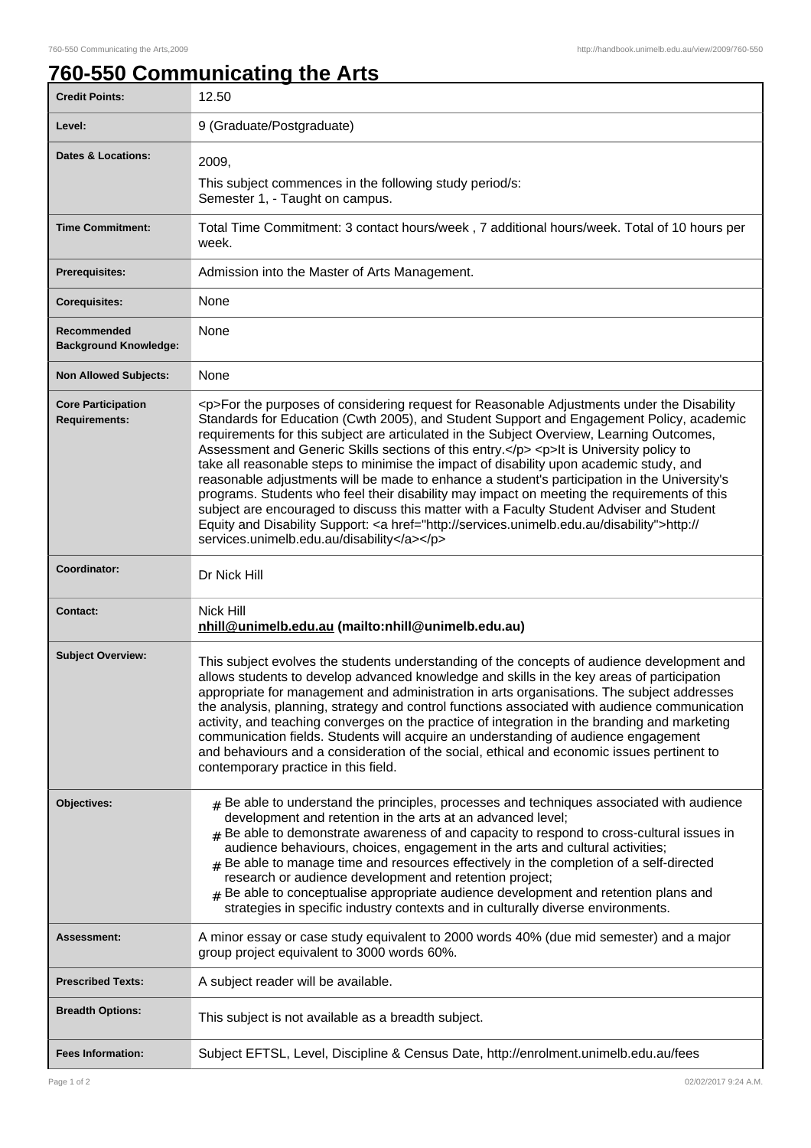## **760-550 Communicating the Arts**

| <b>Credit Points:</b>                             | 12.50                                                                                                                                                                                                                                                                                                                                                                                                                                                                                                                                                                                                                                                                                                                                                                                                                                                                                                                        |
|---------------------------------------------------|------------------------------------------------------------------------------------------------------------------------------------------------------------------------------------------------------------------------------------------------------------------------------------------------------------------------------------------------------------------------------------------------------------------------------------------------------------------------------------------------------------------------------------------------------------------------------------------------------------------------------------------------------------------------------------------------------------------------------------------------------------------------------------------------------------------------------------------------------------------------------------------------------------------------------|
| Level:                                            | 9 (Graduate/Postgraduate)                                                                                                                                                                                                                                                                                                                                                                                                                                                                                                                                                                                                                                                                                                                                                                                                                                                                                                    |
| <b>Dates &amp; Locations:</b>                     | 2009,                                                                                                                                                                                                                                                                                                                                                                                                                                                                                                                                                                                                                                                                                                                                                                                                                                                                                                                        |
|                                                   | This subject commences in the following study period/s:<br>Semester 1, - Taught on campus.                                                                                                                                                                                                                                                                                                                                                                                                                                                                                                                                                                                                                                                                                                                                                                                                                                   |
| <b>Time Commitment:</b>                           | Total Time Commitment: 3 contact hours/week, 7 additional hours/week. Total of 10 hours per<br>week.                                                                                                                                                                                                                                                                                                                                                                                                                                                                                                                                                                                                                                                                                                                                                                                                                         |
| <b>Prerequisites:</b>                             | Admission into the Master of Arts Management.                                                                                                                                                                                                                                                                                                                                                                                                                                                                                                                                                                                                                                                                                                                                                                                                                                                                                |
| <b>Corequisites:</b>                              | None                                                                                                                                                                                                                                                                                                                                                                                                                                                                                                                                                                                                                                                                                                                                                                                                                                                                                                                         |
| Recommended<br><b>Background Knowledge:</b>       | None                                                                                                                                                                                                                                                                                                                                                                                                                                                                                                                                                                                                                                                                                                                                                                                                                                                                                                                         |
| <b>Non Allowed Subjects:</b>                      | None                                                                                                                                                                                                                                                                                                                                                                                                                                                                                                                                                                                                                                                                                                                                                                                                                                                                                                                         |
| <b>Core Participation</b><br><b>Requirements:</b> | <p>For the purposes of considering request for Reasonable Adjustments under the Disability<br/>Standards for Education (Cwth 2005), and Student Support and Engagement Policy, academic<br/>requirements for this subject are articulated in the Subject Overview, Learning Outcomes,<br/>Assessment and Generic Skills sections of this entry.</p> <p>lt is University policy to<br/>take all reasonable steps to minimise the impact of disability upon academic study, and<br/>reasonable adjustments will be made to enhance a student's participation in the University's<br/>programs. Students who feel their disability may impact on meeting the requirements of this<br/>subject are encouraged to discuss this matter with a Faculty Student Adviser and Student<br/>Equity and Disability Support: &lt; a href="http://services.unimelb.edu.au/disability"&gt;http://<br/>services.unimelb.edu.au/disability</p> |
| Coordinator:                                      | Dr Nick Hill                                                                                                                                                                                                                                                                                                                                                                                                                                                                                                                                                                                                                                                                                                                                                                                                                                                                                                                 |
| <b>Contact:</b>                                   | Nick Hill<br>nhill@unimelb.edu.au (mailto:nhill@unimelb.edu.au)                                                                                                                                                                                                                                                                                                                                                                                                                                                                                                                                                                                                                                                                                                                                                                                                                                                              |
| <b>Subject Overview:</b>                          | This subject evolves the students understanding of the concepts of audience development and<br>allows students to develop advanced knowledge and skills in the key areas of participation<br>appropriate for management and administration in arts organisations. The subject addresses<br>the analysis, planning, strategy and control functions associated with audience communication<br>activity, and teaching converges on the practice of integration in the branding and marketing<br>communication fields. Students will acquire an understanding of audience engagement<br>and behaviours and a consideration of the social, ethical and economic issues pertinent to<br>contemporary practice in this field.                                                                                                                                                                                                       |
| Objectives:                                       | $#$ Be able to understand the principles, processes and techniques associated with audience<br>development and retention in the arts at an advanced level;<br>Be able to demonstrate awareness of and capacity to respond to cross-cultural issues in<br>audience behaviours, choices, engagement in the arts and cultural activities;<br>$#$ Be able to manage time and resources effectively in the completion of a self-directed<br>research or audience development and retention project;<br>Be able to conceptualise appropriate audience development and retention plans and<br>#<br>strategies in specific industry contexts and in culturally diverse environments.                                                                                                                                                                                                                                                 |
| Assessment:                                       | A minor essay or case study equivalent to 2000 words 40% (due mid semester) and a major<br>group project equivalent to 3000 words 60%.                                                                                                                                                                                                                                                                                                                                                                                                                                                                                                                                                                                                                                                                                                                                                                                       |
| <b>Prescribed Texts:</b>                          | A subject reader will be available.                                                                                                                                                                                                                                                                                                                                                                                                                                                                                                                                                                                                                                                                                                                                                                                                                                                                                          |
| <b>Breadth Options:</b>                           | This subject is not available as a breadth subject.                                                                                                                                                                                                                                                                                                                                                                                                                                                                                                                                                                                                                                                                                                                                                                                                                                                                          |
| <b>Fees Information:</b>                          | Subject EFTSL, Level, Discipline & Census Date, http://enrolment.unimelb.edu.au/fees                                                                                                                                                                                                                                                                                                                                                                                                                                                                                                                                                                                                                                                                                                                                                                                                                                         |